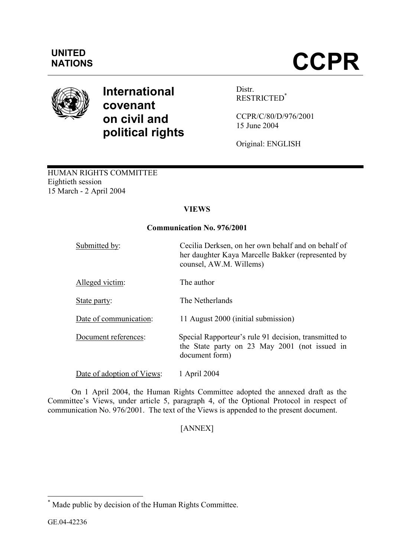## UNITED

# NATIONS **CCPR**



### International covenant on civil and political rights

Distr. RESTRICTED\*

CCPR/C/80/D/976/2001 15 June 2004

Original: ENGLISH

#### HUMAN RIGHTS COMMITTEE Eightieth session 15 March - 2 April 2004

#### **VIEWS**

#### Communication No. 976/2001

| Submitted by:              | Cecilia Derksen, on her own behalf and on behalf of<br>her daughter Kaya Marcelle Bakker (represented by<br>counsel, AW.M. Willems) |
|----------------------------|-------------------------------------------------------------------------------------------------------------------------------------|
| Alleged victim:            | The author                                                                                                                          |
| State party:               | The Netherlands                                                                                                                     |
| Date of communication:     | 11 August 2000 (initial submission)                                                                                                 |
| Document references:       | Special Rapporteur's rule 91 decision, transmitted to<br>the State party on 23 May 2001 (not issued in<br>document form)            |
| Date of adoption of Views: | 1 April 2004                                                                                                                        |

 On 1 April 2004, the Human Rights Committee adopted the annexed draft as the Committee's Views, under article 5, paragraph 4, of the Optional Protocol in respect of communication No. 976/2001. The text of the Views is appended to the present document.

[ANNEX]

 \* Made public by decision of the Human Rights Committee.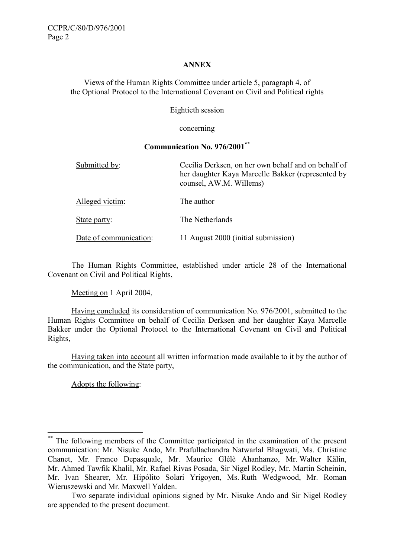#### ANNEX

Views of the Human Rights Committee under article 5, paragraph 4, of the Optional Protocol to the International Covenant on Civil and Political rights

Eightieth session

concerning

#### Communication No. 976/2001\*\*

| Submitted by:          | Cecilia Derksen, on her own behalf and on behalf of<br>her daughter Kaya Marcelle Bakker (represented by<br>counsel, AW.M. Willems) |
|------------------------|-------------------------------------------------------------------------------------------------------------------------------------|
| Alleged victim:        | The author                                                                                                                          |
| State party:           | The Netherlands                                                                                                                     |
| Date of communication: | 11 August 2000 (initial submission)                                                                                                 |

 The Human Rights Committee, established under article 28 of the International Covenant on Civil and Political Rights,

Meeting on 1 April 2004,

 Having concluded its consideration of communication No. 976/2001, submitted to the Human Rights Committee on behalf of Cecilia Derksen and her daughter Kaya Marcelle Bakker under the Optional Protocol to the International Covenant on Civil and Political Rights,

 Having taken into account all written information made available to it by the author of the communication, and the State party,

Adopts the following:

 $\overline{a}$ 

<sup>\*\*</sup> The following members of the Committee participated in the examination of the present communication: Mr. Nisuke Ando, Mr. Prafullachandra Natwarlal Bhagwati, Ms. Christine Chanet, Mr. Franco Depasquale, Mr. Maurice Glèlè Ahanhanzo, Mr. Walter Kälin, Mr. Ahmed Tawfik Khalil, Mr. Rafael Rivas Posada, Sir Nigel Rodley, Mr. Martin Scheinin, Mr. Ivan Shearer, Mr. Hipólito Solari Yrigoyen, Ms. Ruth Wedgwood, Mr. Roman Wieruszewski and Mr. Maxwell Yalden.

Two separate individual opinions signed by Mr. Nisuke Ando and Sir Nigel Rodley are appended to the present document.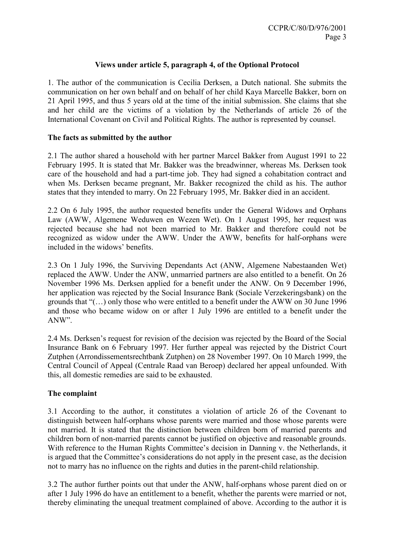#### Views under article 5, paragraph 4, of the Optional Protocol

1. The author of the communication is Cecilia Derksen, a Dutch national. She submits the communication on her own behalf and on behalf of her child Kaya Marcelle Bakker, born on 21 April 1995, and thus 5 years old at the time of the initial submission. She claims that she and her child are the victims of a violation by the Netherlands of article 26 of the International Covenant on Civil and Political Rights. The author is represented by counsel.

#### The facts as submitted by the author

2.1 The author shared a household with her partner Marcel Bakker from August 1991 to 22 February 1995. It is stated that Mr. Bakker was the breadwinner, whereas Ms. Derksen took care of the household and had a part-time job. They had signed a cohabitation contract and when Ms. Derksen became pregnant, Mr. Bakker recognized the child as his. The author states that they intended to marry. On 22 February 1995, Mr. Bakker died in an accident.

2.2 On 6 July 1995, the author requested benefits under the General Widows and Orphans Law (AWW, Algemene Weduwen en Wezen Wet). On 1 August 1995, her request was rejected because she had not been married to Mr. Bakker and therefore could not be recognized as widow under the AWW. Under the AWW, benefits for half-orphans were included in the widows' benefits.

2.3 On 1 July 1996, the Surviving Dependants Act (ANW, Algemene Nabestaanden Wet) replaced the AWW. Under the ANW, unmarried partners are also entitled to a benefit. On 26 November 1996 Ms. Derksen applied for a benefit under the ANW. On 9 December 1996, her application was rejected by the Social Insurance Bank (Sociale Verzekeringsbank) on the grounds that "(…) only those who were entitled to a benefit under the AWW on 30 June 1996 and those who became widow on or after 1 July 1996 are entitled to a benefit under the ANW".

2.4 Ms. Derksen's request for revision of the decision was rejected by the Board of the Social Insurance Bank on 6 February 1997. Her further appeal was rejected by the District Court Zutphen (Arrondissementsrechtbank Zutphen) on 28 November 1997. On 10 March 1999, the Central Council of Appeal (Centrale Raad van Beroep) declared her appeal unfounded. With this, all domestic remedies are said to be exhausted.

#### The complaint

3.1 According to the author, it constitutes a violation of article 26 of the Covenant to distinguish between half-orphans whose parents were married and those whose parents were not married. It is stated that the distinction between children born of married parents and children born of non-married parents cannot be justified on objective and reasonable grounds. With reference to the Human Rights Committee's decision in Danning v. the Netherlands, it is argued that the Committee's considerations do not apply in the present case, as the decision not to marry has no influence on the rights and duties in the parent-child relationship.

3.2 The author further points out that under the ANW, half-orphans whose parent died on or after 1 July 1996 do have an entitlement to a benefit, whether the parents were married or not, thereby eliminating the unequal treatment complained of above. According to the author it is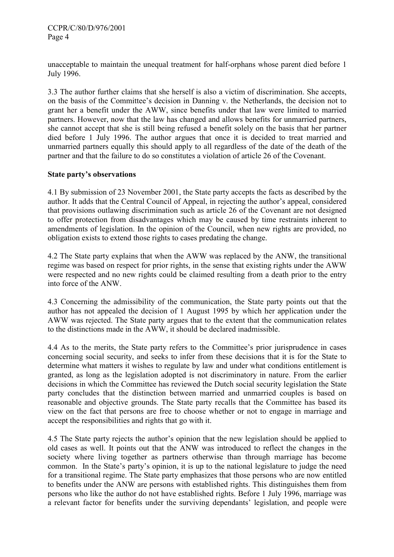unacceptable to maintain the unequal treatment for half-orphans whose parent died before 1 July 1996.

3.3 The author further claims that she herself is also a victim of discrimination. She accepts, on the basis of the Committee's decision in Danning v. the Netherlands, the decision not to grant her a benefit under the AWW, since benefits under that law were limited to married partners. However, now that the law has changed and allows benefits for unmarried partners, she cannot accept that she is still being refused a benefit solely on the basis that her partner died before 1 July 1996. The author argues that once it is decided to treat married and unmarried partners equally this should apply to all regardless of the date of the death of the partner and that the failure to do so constitutes a violation of article 26 of the Covenant.

#### State party's observations

4.1 By submission of 23 November 2001, the State party accepts the facts as described by the author. It adds that the Central Council of Appeal, in rejecting the author's appeal, considered that provisions outlawing discrimination such as article 26 of the Covenant are not designed to offer protection from disadvantages which may be caused by time restraints inherent to amendments of legislation. In the opinion of the Council, when new rights are provided, no obligation exists to extend those rights to cases predating the change.

4.2 The State party explains that when the AWW was replaced by the ANW, the transitional regime was based on respect for prior rights, in the sense that existing rights under the AWW were respected and no new rights could be claimed resulting from a death prior to the entry into force of the ANW.

4.3 Concerning the admissibility of the communication, the State party points out that the author has not appealed the decision of 1 August 1995 by which her application under the AWW was rejected. The State party argues that to the extent that the communication relates to the distinctions made in the AWW, it should be declared inadmissible.

4.4 As to the merits, the State party refers to the Committee's prior jurisprudence in cases concerning social security, and seeks to infer from these decisions that it is for the State to determine what matters it wishes to regulate by law and under what conditions entitlement is granted, as long as the legislation adopted is not discriminatory in nature. From the earlier decisions in which the Committee has reviewed the Dutch social security legislation the State party concludes that the distinction between married and unmarried couples is based on reasonable and objective grounds. The State party recalls that the Committee has based its view on the fact that persons are free to choose whether or not to engage in marriage and accept the responsibilities and rights that go with it.

4.5 The State party rejects the author's opinion that the new legislation should be applied to old cases as well. It points out that the ANW was introduced to reflect the changes in the society where living together as partners otherwise than through marriage has become common. In the State's party's opinion, it is up to the national legislature to judge the need for a transitional regime. The State party emphasizes that those persons who are now entitled to benefits under the ANW are persons with established rights. This distinguishes them from persons who like the author do not have established rights. Before 1 July 1996, marriage was a relevant factor for benefits under the surviving dependants' legislation, and people were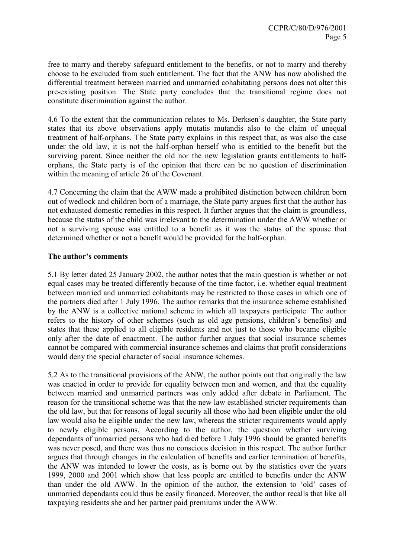free to marry and thereby safeguard entitlement to the benefits, or not to marry and thereby choose to be excluded from such entitlement. The fact that the ANW has now abolished the differential treatment between married and unmarried cohabitating persons does not alter this pre-existing position. The State party concludes that the transitional regime does not constitute discrimination against the author.

4.6 To the extent that the communication relates to Ms. Derksen's daughter, the State party states that its above observations apply mutatis mutandis also to the claim of unequal treatment of half-orphans. The State party explains in this respect that, as was also the case under the old law, it is not the half-orphan herself who is entitled to the benefit but the surviving parent. Since neither the old nor the new legislation grants entitlements to halforphans, the State party is of the opinion that there can be no question of discrimination within the meaning of article 26 of the Covenant.

4.7 Concerning the claim that the AWW made a prohibited distinction between children born out of wedlock and children born of a marriage, the State party argues first that the author has not exhausted domestic remedies in this respect. It further argues that the claim is groundless, because the status of the child was irrelevant to the determination under the AWW whether or not a surviving spouse was entitled to a benefit as it was the status of the spouse that determined whether or not a benefit would be provided for the half-orphan.

#### The author's comments

5.1 By letter dated 25 January 2002, the author notes that the main question is whether or not equal cases may be treated differently because of the time factor, i.e. whether equal treatment between married and unmarried cohabitants may be restricted to those cases in which one of the partners died after 1 July 1996. The author remarks that the insurance scheme established by the ANW is a collective national scheme in which all taxpayers participate. The author refers to the history of other schemes (such as old age pensions, children's benefits) and states that these applied to all eligible residents and not just to those who became eligible only after the date of enactment. The author further argues that social insurance schemes cannot be compared with commercial insurance schemes and claims that profit considerations would deny the special character of social insurance schemes.

5.2 As to the transitional provisions of the ANW, the author points out that originally the law was enacted in order to provide for equality between men and women, and that the equality between married and unmarried partners was only added after debate in Parliament. The reason for the transitional scheme was that the new law established stricter requirements than the old law, but that for reasons of legal security all those who had been eligible under the old law would also be eligible under the new law, whereas the stricter requirements would apply to newly eligible persons. According to the author, the question whether surviving dependants of unmarried persons who had died before 1 July 1996 should be granted benefits was never posed, and there was thus no conscious decision in this respect. The author further argues that through changes in the calculation of benefits and earlier termination of benefits, the ANW was intended to lower the costs, as is borne out by the statistics over the years 1999, 2000 and 2001 which show that less people are entitled to benefits under the ANW than under the old AWW. In the opinion of the author, the extension to 'old' cases of unmarried dependants could thus be easily financed. Moreover, the author recalls that like all taxpaying residents she and her partner paid premiums under the AWW.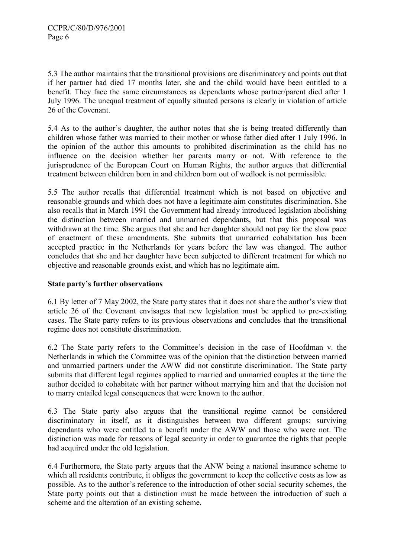5.3 The author maintains that the transitional provisions are discriminatory and points out that if her partner had died 17 months later, she and the child would have been entitled to a benefit. They face the same circumstances as dependants whose partner/parent died after 1 July 1996. The unequal treatment of equally situated persons is clearly in violation of article 26 of the Covenant.

5.4 As to the author's daughter, the author notes that she is being treated differently than children whose father was married to their mother or whose father died after 1 July 1996. In the opinion of the author this amounts to prohibited discrimination as the child has no influence on the decision whether her parents marry or not. With reference to the jurisprudence of the European Court on Human Rights, the author argues that differential treatment between children born in and children born out of wedlock is not permissible.

5.5 The author recalls that differential treatment which is not based on objective and reasonable grounds and which does not have a legitimate aim constitutes discrimination. She also recalls that in March 1991 the Government had already introduced legislation abolishing the distinction between married and unmarried dependants, but that this proposal was withdrawn at the time. She argues that she and her daughter should not pay for the slow pace of enactment of these amendments. She submits that unmarried cohabitation has been accepted practice in the Netherlands for years before the law was changed. The author concludes that she and her daughter have been subjected to different treatment for which no objective and reasonable grounds exist, and which has no legitimate aim.

#### State party's further observations

6.1 By letter of 7 May 2002, the State party states that it does not share the author's view that article 26 of the Covenant envisages that new legislation must be applied to pre-existing cases. The State party refers to its previous observations and concludes that the transitional regime does not constitute discrimination.

6.2 The State party refers to the Committee's decision in the case of Hoofdman v. the Netherlands in which the Committee was of the opinion that the distinction between married and unmarried partners under the AWW did not constitute discrimination. The State party submits that different legal regimes applied to married and unmarried couples at the time the author decided to cohabitate with her partner without marrying him and that the decision not to marry entailed legal consequences that were known to the author.

6.3 The State party also argues that the transitional regime cannot be considered discriminatory in itself, as it distinguishes between two different groups: surviving dependants who were entitled to a benefit under the AWW and those who were not. The distinction was made for reasons of legal security in order to guarantee the rights that people had acquired under the old legislation.

6.4 Furthermore, the State party argues that the ANW being a national insurance scheme to which all residents contribute, it obliges the government to keep the collective costs as low as possible. As to the author's reference to the introduction of other social security schemes, the State party points out that a distinction must be made between the introduction of such a scheme and the alteration of an existing scheme.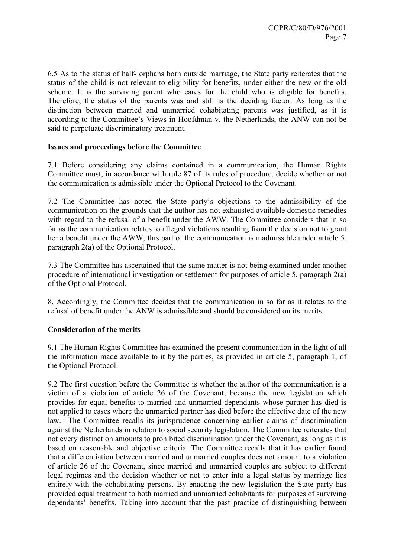6.5 As to the status of half- orphans born outside marriage, the State party reiterates that the status of the child is not relevant to eligibility for benefits, under either the new or the old scheme. It is the surviving parent who cares for the child who is eligible for benefits. Therefore, the status of the parents was and still is the deciding factor. As long as the distinction between married and unmarried cohabitating parents was justified, as it is according to the Committee's Views in Hoofdman v. the Netherlands, the ANW can not be said to perpetuate discriminatory treatment.

#### Issues and proceedings before the Committee

7.1 Before considering any claims contained in a communication, the Human Rights Committee must, in accordance with rule 87 of its rules of procedure, decide whether or not the communication is admissible under the Optional Protocol to the Covenant.

7.2 The Committee has noted the State party's objections to the admissibility of the communication on the grounds that the author has not exhausted available domestic remedies with regard to the refusal of a benefit under the AWW. The Committee considers that in so far as the communication relates to alleged violations resulting from the decision not to grant her a benefit under the AWW, this part of the communication is inadmissible under article 5, paragraph 2(a) of the Optional Protocol.

7.3 The Committee has ascertained that the same matter is not being examined under another procedure of international investigation or settlement for purposes of article 5, paragraph 2(a) of the Optional Protocol.

8. Accordingly, the Committee decides that the communication in so far as it relates to the refusal of benefit under the ANW is admissible and should be considered on its merits.

#### Consideration of the merits

9.1 The Human Rights Committee has examined the present communication in the light of all the information made available to it by the parties, as provided in article 5, paragraph 1, of the Optional Protocol.

9.2 The first question before the Committee is whether the author of the communication is a victim of a violation of article 26 of the Covenant, because the new legislation which provides for equal benefits to married and unmarried dependants whose partner has died is not applied to cases where the unmarried partner has died before the effective date of the new law. The Committee recalls its jurisprudence concerning earlier claims of discrimination against the Netherlands in relation to social security legislation. The Committee reiterates that not every distinction amounts to prohibited discrimination under the Covenant, as long as it is based on reasonable and objective criteria. The Committee recalls that it has earlier found that a differentiation between married and unmarried couples does not amount to a violation of article 26 of the Covenant, since married and unmarried couples are subject to different legal regimes and the decision whether or not to enter into a legal status by marriage lies entirely with the cohabitating persons. By enacting the new legislation the State party has provided equal treatment to both married and unmarried cohabitants for purposes of surviving dependants' benefits. Taking into account that the past practice of distinguishing between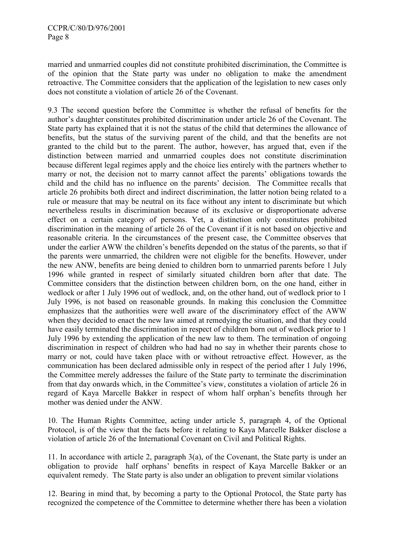married and unmarried couples did not constitute prohibited discrimination, the Committee is of the opinion that the State party was under no obligation to make the amendment retroactive. The Committee considers that the application of the legislation to new cases only does not constitute a violation of article 26 of the Covenant.

9.3 The second question before the Committee is whether the refusal of benefits for the author's daughter constitutes prohibited discrimination under article 26 of the Covenant. The State party has explained that it is not the status of the child that determines the allowance of benefits, but the status of the surviving parent of the child, and that the benefits are not granted to the child but to the parent. The author, however, has argued that, even if the distinction between married and unmarried couples does not constitute discrimination because different legal regimes apply and the choice lies entirely with the partners whether to marry or not, the decision not to marry cannot affect the parents' obligations towards the child and the child has no influence on the parents' decision. The Committee recalls that article 26 prohibits both direct and indirect discrimination, the latter notion being related to a rule or measure that may be neutral on its face without any intent to discriminate but which nevertheless results in discrimination because of its exclusive or disproportionate adverse effect on a certain category of persons. Yet, a distinction only constitutes prohibited discrimination in the meaning of article 26 of the Covenant if it is not based on objective and reasonable criteria. In the circumstances of the present case, the Committee observes that under the earlier AWW the children's benefits depended on the status of the parents, so that if the parents were unmarried, the children were not eligible for the benefits. However, under the new ANW, benefits are being denied to children born to unmarried parents before 1 July 1996 while granted in respect of similarly situated children born after that date. The Committee considers that the distinction between children born, on the one hand, either in wedlock or after 1 July 1996 out of wedlock, and, on the other hand, out of wedlock prior to 1 July 1996, is not based on reasonable grounds. In making this conclusion the Committee emphasizes that the authorities were well aware of the discriminatory effect of the AWW when they decided to enact the new law aimed at remedying the situation, and that they could have easily terminated the discrimination in respect of children born out of wedlock prior to 1 July 1996 by extending the application of the new law to them. The termination of ongoing discrimination in respect of children who had had no say in whether their parents chose to marry or not, could have taken place with or without retroactive effect. However, as the communication has been declared admissible only in respect of the period after 1 July 1996, the Committee merely addresses the failure of the State party to terminate the discrimination from that day onwards which, in the Committee's view, constitutes a violation of article 26 in regard of Kaya Marcelle Bakker in respect of whom half orphan's benefits through her mother was denied under the ANW.

10. The Human Rights Committee, acting under article 5, paragraph 4, of the Optional Protocol, is of the view that the facts before it relating to Kaya Marcelle Bakker disclose a violation of article 26 of the International Covenant on Civil and Political Rights.

11. In accordance with article 2, paragraph 3(a), of the Covenant, the State party is under an obligation to provide half orphans' benefits in respect of Kaya Marcelle Bakker or an equivalent remedy. The State party is also under an obligation to prevent similar violations

12. Bearing in mind that, by becoming a party to the Optional Protocol, the State party has recognized the competence of the Committee to determine whether there has been a violation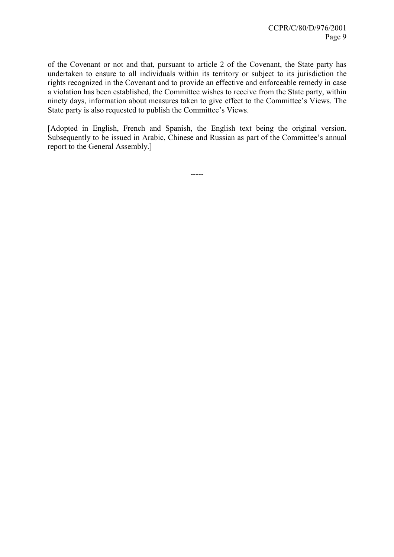of the Covenant or not and that, pursuant to article 2 of the Covenant, the State party has undertaken to ensure to all individuals within its territory or subject to its jurisdiction the rights recognized in the Covenant and to provide an effective and enforceable remedy in case a violation has been established, the Committee wishes to receive from the State party, within ninety days, information about measures taken to give effect to the Committee's Views. The State party is also requested to publish the Committee's Views.

[Adopted in English, French and Spanish, the English text being the original version. Subsequently to be issued in Arabic, Chinese and Russian as part of the Committee's annual report to the General Assembly.]

-----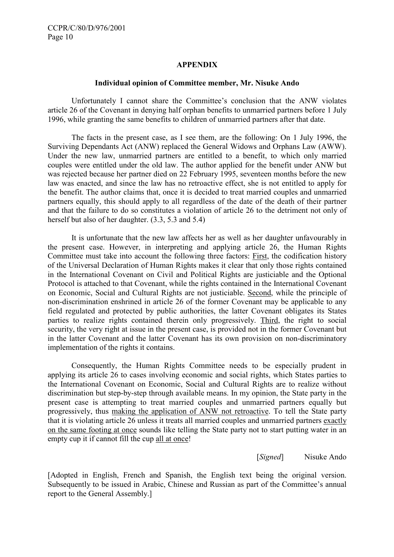#### APPENDIX

#### Individual opinion of Committee member, Mr. Nisuke Ando

 Unfortunately I cannot share the Committee's conclusion that the ANW violates article 26 of the Covenant in denying half orphan benefits to unmarried partners before 1 July 1996, while granting the same benefits to children of unmarried partners after that date.

 The facts in the present case, as I see them, are the following: On 1 July 1996, the Surviving Dependants Act (ANW) replaced the General Widows and Orphans Law (AWW). Under the new law, unmarried partners are entitled to a benefit, to which only married couples were entitled under the old law. The author applied for the benefit under ANW but was rejected because her partner died on 22 February 1995, seventeen months before the new law was enacted, and since the law has no retroactive effect, she is not entitled to apply for the benefit. The author claims that, once it is decided to treat married couples and unmarried partners equally, this should apply to all regardless of the date of the death of their partner and that the failure to do so constitutes a violation of article 26 to the detriment not only of herself but also of her daughter. (3.3, 5.3 and 5.4)

 It is unfortunate that the new law affects her as well as her daughter unfavourably in the present case. However, in interpreting and applying article 26, the Human Rights Committee must take into account the following three factors: First, the codification history of the Universal Declaration of Human Rights makes it clear that only those rights contained in the International Covenant on Civil and Political Rights are justiciable and the Optional Protocol is attached to that Covenant, while the rights contained in the International Covenant on Economic, Social and Cultural Rights are not justiciable. Second, while the principle of non-discrimination enshrined in article 26 of the former Covenant may be applicable to any field regulated and protected by public authorities, the latter Covenant obligates its States parties to realize rights contained therein only progressively. Third, the right to social security, the very right at issue in the present case, is provided not in the former Covenant but in the latter Covenant and the latter Covenant has its own provision on non-discriminatory implementation of the rights it contains.

 Consequently, the Human Rights Committee needs to be especially prudent in applying its article 26 to cases involving economic and social rights, which States parties to the International Covenant on Economic, Social and Cultural Rights are to realize without discrimination but step-by-step through available means. In my opinion, the State party in the present case is attempting to treat married couples and unmarried partners equally but progressively, thus making the application of ANW not retroactive. To tell the State party that it is violating article 26 unless it treats all married couples and unmarried partners exactly on the same footing at once sounds like telling the State party not to start putting water in an empty cup it if cannot fill the cup all at once!

[*Signed*] Nisuke Ando

[Adopted in English, French and Spanish, the English text being the original version. Subsequently to be issued in Arabic, Chinese and Russian as part of the Committee's annual report to the General Assembly.]